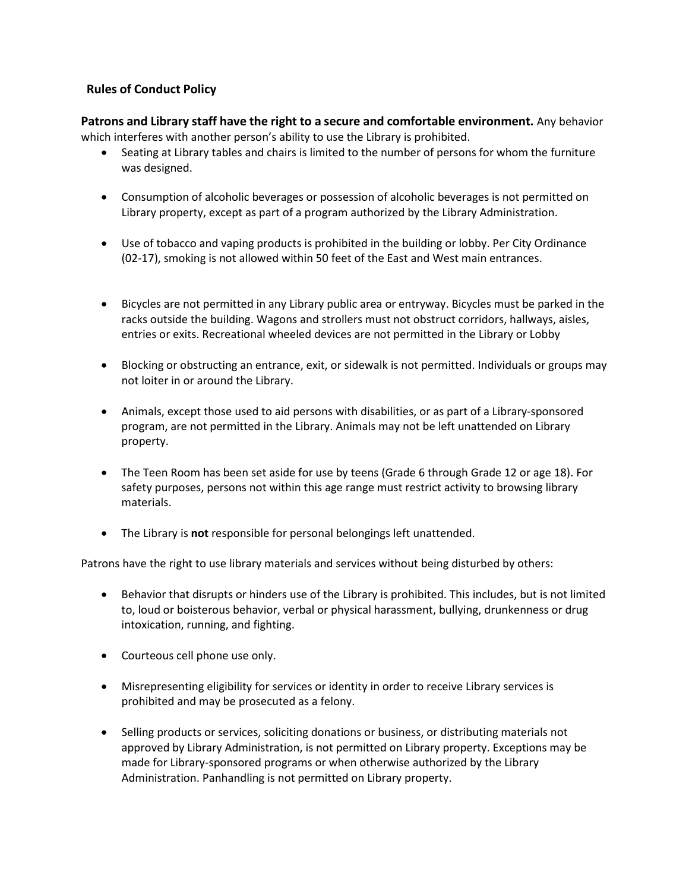## **Rules of Conduct Policy**

**Patrons and Library staff have the right to a secure and comfortable environment.** Any behavior which interferes with another person's ability to use the Library is prohibited.

- Seating at Library tables and chairs is limited to the number of persons for whom the furniture was designed.
- Consumption of alcoholic beverages or possession of alcoholic beverages is not permitted on Library property, except as part of a program authorized by the Library Administration.
- Use of tobacco and vaping products is prohibited in the building or lobby. Per City Ordinance (02-17), smoking is not allowed within 50 feet of the East and West main entrances.
- Bicycles are not permitted in any Library public area or entryway. Bicycles must be parked in the racks outside the building. Wagons and strollers must not obstruct corridors, hallways, aisles, entries or exits. Recreational wheeled devices are not permitted in the Library or Lobby
- Blocking or obstructing an entrance, exit, or sidewalk is not permitted. Individuals or groups may not loiter in or around the Library.
- Animals, except those used to aid persons with disabilities, or as part of a Library-sponsored program, are not permitted in the Library. Animals may not be left unattended on Library property.
- The Teen Room has been set aside for use by teens (Grade 6 through Grade 12 or age 18). For safety purposes, persons not within this age range must restrict activity to browsing library materials.
- The Library is **not** responsible for personal belongings left unattended.

Patrons have the right to use library materials and services without being disturbed by others:

- Behavior that disrupts or hinders use of the Library is prohibited. This includes, but is not limited to, loud or boisterous behavior, verbal or physical harassment, bullying, drunkenness or drug intoxication, running, and fighting.
- Courteous cell phone use only.
- Misrepresenting eligibility for services or identity in order to receive Library services is prohibited and may be prosecuted as a felony.
- Selling products or services, soliciting donations or business, or distributing materials not approved by Library Administration, is not permitted on Library property. Exceptions may be made for Library-sponsored programs or when otherwise authorized by the Library Administration. Panhandling is not permitted on Library property.